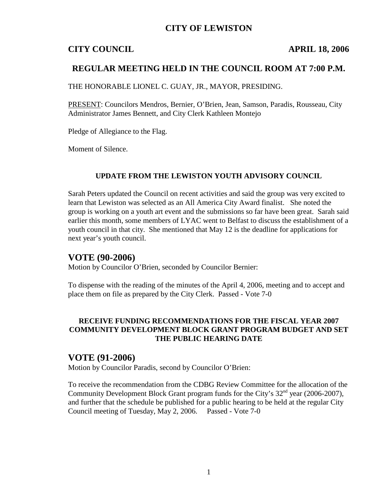# **CITY OF LEWISTON**

# **CITY COUNCIL APRIL 18, 2006**

# **REGULAR MEETING HELD IN THE COUNCIL ROOM AT 7:00 P.M.**

THE HONORABLE LIONEL C. GUAY, JR., MAYOR, PRESIDING.

PRESENT: Councilors Mendros, Bernier, O'Brien, Jean, Samson, Paradis, Rousseau, City Administrator James Bennett, and City Clerk Kathleen Montejo

Pledge of Allegiance to the Flag.

Moment of Silence.

#### **UPDATE FROM THE LEWISTON YOUTH ADVISORY COUNCIL**

Sarah Peters updated the Council on recent activities and said the group was very excited to learn that Lewiston was selected as an All America City Award finalist. She noted the group is working on a youth art event and the submissions so far have been great. Sarah said earlier this month, some members of LYAC went to Belfast to discuss the establishment of a youth council in that city. She mentioned that May 12 is the deadline for applications for next year's youth council.

## **VOTE (90-2006)**

Motion by Councilor O'Brien, seconded by Councilor Bernier:

To dispense with the reading of the minutes of the April 4, 2006, meeting and to accept and place them on file as prepared by the City Clerk. Passed - Vote 7-0

## **RECEIVE FUNDING RECOMMENDATIONS FOR THE FISCAL YEAR 2007 COMMUNITY DEVELOPMENT BLOCK GRANT PROGRAM BUDGET AND SET THE PUBLIC HEARING DATE**

## **VOTE (91-2006)**

Motion by Councilor Paradis, second by Councilor O'Brien:

To receive the recommendation from the CDBG Review Committee for the allocation of the Community Development Block Grant program funds for the City's 32<sup>nd</sup> year (2006-2007), and further that the schedule be published for a public hearing to be held at the regular City Council meeting of Tuesday, May 2, 2006. Passed - Vote 7-0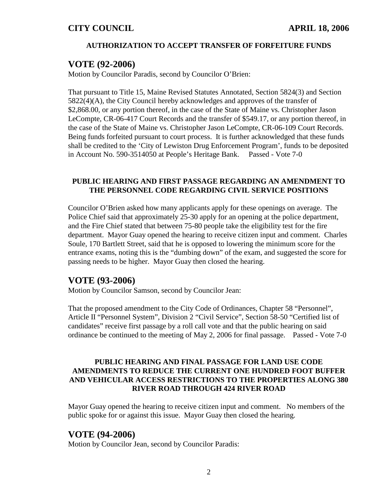#### **AUTHORIZATION TO ACCEPT TRANSFER OF FORFEITURE FUNDS**

## **VOTE (92-2006)**

Motion by Councilor Paradis, second by Councilor O'Brien:

That pursuant to Title 15, Maine Revised Statutes Annotated, Section 5824(3) and Section 5822(4)(A), the City Council hereby acknowledges and approves of the transfer of \$2,868.00, or any portion thereof, in the case of the State of Maine vs. Christopher Jason LeCompte, CR-06-417 Court Records and the transfer of \$549.17, or any portion thereof, in the case of the State of Maine vs. Christopher Jason LeCompte, CR-06-109 Court Records. Being funds forfeited pursuant to court process. It is further acknowledged that these funds shall be credited to the 'City of Lewiston Drug Enforcement Program', funds to be deposited in Account No. 590-3514050 at People's Heritage Bank. Passed - Vote 7-0

#### **PUBLIC HEARING AND FIRST PASSAGE REGARDING AN AMENDMENT TO THE PERSONNEL CODE REGARDING CIVIL SERVICE POSITIONS**

Councilor O'Brien asked how many applicants apply for these openings on average. The Police Chief said that approximately 25-30 apply for an opening at the police department, and the Fire Chief stated that between 75-80 people take the eligibility test for the fire department. Mayor Guay opened the hearing to receive citizen input and comment. Charles Soule, 170 Bartlett Street, said that he is opposed to lowering the minimum score for the entrance exams, noting this is the "dumbing down" of the exam, and suggested the score for passing needs to be higher. Mayor Guay then closed the hearing.

# **VOTE (93-2006)**

Motion by Councilor Samson, second by Councilor Jean:

That the proposed amendment to the City Code of Ordinances, Chapter 58 "Personnel", Article II "Personnel System", Division 2 "Civil Service", Section 58-50 "Certified list of candidates" receive first passage by a roll call vote and that the public hearing on said ordinance be continued to the meeting of May 2, 2006 for final passage. Passed - Vote 7-0

## **PUBLIC HEARING AND FINAL PASSAGE FOR LAND USE CODE AMENDMENTS TO REDUCE THE CURRENT ONE HUNDRED FOOT BUFFER AND VEHICULAR ACCESS RESTRICTIONS TO THE PROPERTIES ALONG 380 RIVER ROAD THROUGH 424 RIVER ROAD**

Mayor Guay opened the hearing to receive citizen input and comment. No members of the public spoke for or against this issue. Mayor Guay then closed the hearing.

# **VOTE (94-2006)**

Motion by Councilor Jean, second by Councilor Paradis: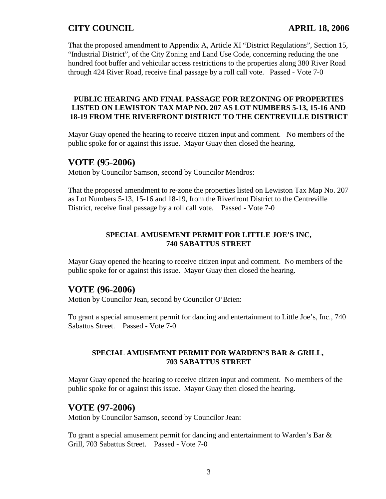That the proposed amendment to Appendix A, Article XI "District Regulations", Section 15, "Industrial District", of the City Zoning and Land Use Code, concerning reducing the one hundred foot buffer and vehicular access restrictions to the properties along 380 River Road through 424 River Road, receive final passage by a roll call vote. Passed - Vote 7-0

#### **PUBLIC HEARING AND FINAL PASSAGE FOR REZONING OF PROPERTIES LISTED ON LEWISTON TAX MAP NO. 207 AS LOT NUMBERS 5-13, 15-16 AND 18-19 FROM THE RIVERFRONT DISTRICT TO THE CENTREVILLE DISTRICT**

Mayor Guay opened the hearing to receive citizen input and comment. No members of the public spoke for or against this issue. Mayor Guay then closed the hearing.

# **VOTE (95-2006)**

Motion by Councilor Samson, second by Councilor Mendros:

That the proposed amendment to re-zone the properties listed on Lewiston Tax Map No. 207 as Lot Numbers 5-13, 15-16 and 18-19, from the Riverfront District to the Centreville District, receive final passage by a roll call vote. Passed - Vote 7-0

## **SPECIAL AMUSEMENT PERMIT FOR LITTLE JOE'S INC, 740 SABATTUS STREET**

Mayor Guay opened the hearing to receive citizen input and comment. No members of the public spoke for or against this issue. Mayor Guay then closed the hearing.

# **VOTE (96-2006)**

Motion by Councilor Jean, second by Councilor O'Brien:

To grant a special amusement permit for dancing and entertainment to Little Joe's, Inc., 740 Sabattus Street. Passed - Vote 7-0

#### **SPECIAL AMUSEMENT PERMIT FOR WARDEN'S BAR & GRILL, 703 SABATTUS STREET**

Mayor Guay opened the hearing to receive citizen input and comment. No members of the public spoke for or against this issue. Mayor Guay then closed the hearing.

# **VOTE (97-2006)**

Motion by Councilor Samson, second by Councilor Jean:

To grant a special amusement permit for dancing and entertainment to Warden's Bar & Grill, 703 Sabattus Street. Passed - Vote 7-0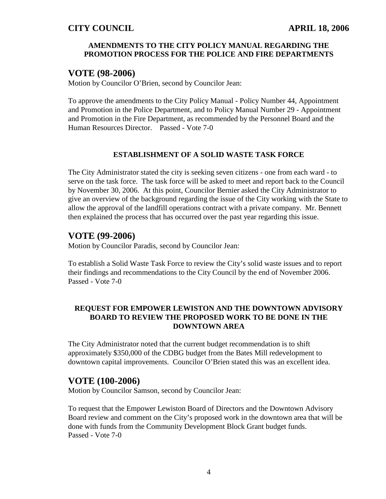## **AMENDMENTS TO THE CITY POLICY MANUAL REGARDING THE PROMOTION PROCESS FOR THE POLICE AND FIRE DEPARTMENTS**

## **VOTE (98-2006)**

Motion by Councilor O'Brien, second by Councilor Jean:

To approve the amendments to the City Policy Manual - Policy Number 44, Appointment and Promotion in the Police Department, and to Policy Manual Number 29 - Appointment and Promotion in the Fire Department, as recommended by the Personnel Board and the Human Resources Director. Passed - Vote 7-0

#### **ESTABLISHMENT OF A SOLID WASTE TASK FORCE**

The City Administrator stated the city is seeking seven citizens - one from each ward - to serve on the task force. The task force will be asked to meet and report back to the Council by November 30, 2006. At this point, Councilor Bernier asked the City Administrator to give an overview of the background regarding the issue of the City working with the State to allow the approval of the landfill operations contract with a private company. Mr. Bennett then explained the process that has occurred over the past year regarding this issue.

# **VOTE (99-2006)**

Motion by Councilor Paradis, second by Councilor Jean:

To establish a Solid Waste Task Force to review the City's solid waste issues and to report their findings and recommendations to the City Council by the end of November 2006. Passed - Vote 7-0

## **REQUEST FOR EMPOWER LEWISTON AND THE DOWNTOWN ADVISORY BOARD TO REVIEW THE PROPOSED WORK TO BE DONE IN THE DOWNTOWN AREA**

The City Administrator noted that the current budget recommendation is to shift approximately \$350,000 of the CDBG budget from the Bates Mill redevelopment to downtown capital improvements. Councilor O'Brien stated this was an excellent idea.

# **VOTE (100-2006)**

Motion by Councilor Samson, second by Councilor Jean:

To request that the Empower Lewiston Board of Directors and the Downtown Advisory Board review and comment on the City's proposed work in the downtown area that will be done with funds from the Community Development Block Grant budget funds. Passed - Vote 7-0